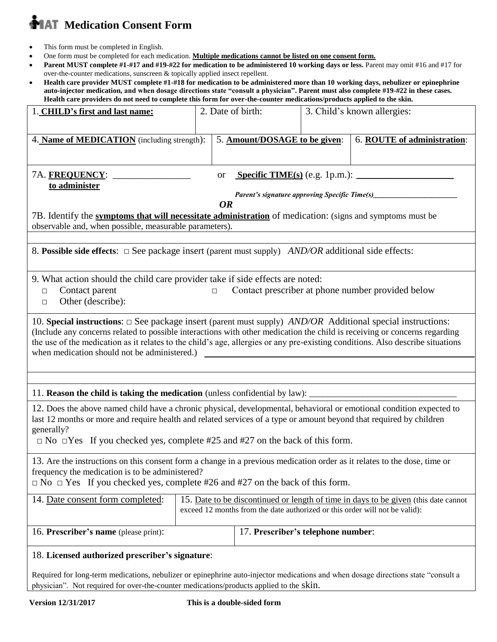# **MAT** Medication Consent Form

- This form must be completed in English.
- One form must be completed for each medication. **Multiple medications cannot be listed on one consent form.**
- **Parent MUST complete #1-#17 and #19-#22 for medication to be administered 10 working days or less.** Parent may omit #16 and #17 for over-the-counter medications, sunscreen & topically applied insect repellent.
- **Health care provider MUST complete #1-#18 for medication to be administered more than 10 working days, nebulizer or epinephrine auto-injector medication, and when dosage directions state "consult a physician". Parent must also complete #19-#22 in these cases. Health care providers do not need to complete this form for over-the-counter medications/products applied to the skin.**

| 1. CHILD's first and last name:                                                                                                                                                                                                                                                                                                                                                                                                                                                                     |                                                                                                                                                                    | 2. Date of birth:                  |  | 3. Child's known allergies: |
|-----------------------------------------------------------------------------------------------------------------------------------------------------------------------------------------------------------------------------------------------------------------------------------------------------------------------------------------------------------------------------------------------------------------------------------------------------------------------------------------------------|--------------------------------------------------------------------------------------------------------------------------------------------------------------------|------------------------------------|--|-----------------------------|
| 4. Name of MEDICATION (including strength):                                                                                                                                                                                                                                                                                                                                                                                                                                                         |                                                                                                                                                                    | 5. Amount/DOSAGE to be given:      |  | 6. ROUTE of administration: |
| Specific TIME(s) $(e.g. 1p.m.):$<br>7A. <u>frequency</u> : _______<br><b>or</b><br>to administer<br><b>OR</b><br>7B. Identify the symptoms that will necessitate administration of medication: (signs and symptoms must be<br>observable and, when possible, measurable parameters).                                                                                                                                                                                                                |                                                                                                                                                                    |                                    |  |                             |
| 8. Possible side effects: $\Box$ See package insert (parent must supply) <i>AND/OR</i> additional side effects:                                                                                                                                                                                                                                                                                                                                                                                     |                                                                                                                                                                    |                                    |  |                             |
| 9. What action should the child care provider take if side effects are noted:<br>Contact parent<br>Contact prescriber at phone number provided below<br>$\Box$<br>$\Box$<br>Other (describe):<br>$\Box$                                                                                                                                                                                                                                                                                             |                                                                                                                                                                    |                                    |  |                             |
| 10. Special instructions: $\Box$ See package insert (parent must supply) <i>AND/OR</i> Additional special instructions:<br>(Include any concerns related to possible interactions with other medication the child is receiving or concerns regarding<br>the use of the medication as it relates to the child's age, allergies or any pre-existing conditions. Also describe situations<br>when medication should not be administered.)<br><u> 1989 - John Stein, Amerikaansk politiker (* 1958)</u> |                                                                                                                                                                    |                                    |  |                             |
|                                                                                                                                                                                                                                                                                                                                                                                                                                                                                                     |                                                                                                                                                                    |                                    |  |                             |
|                                                                                                                                                                                                                                                                                                                                                                                                                                                                                                     |                                                                                                                                                                    |                                    |  |                             |
| 12. Does the above named child have a chronic physical, developmental, behavioral or emotional condition expected to<br>last 12 months or more and require health and related services of a type or amount beyond that required by children<br>generally?<br>$\Box$ No $\Box$ Yes If you checked yes, complete #25 and #27 on the back of this form.                                                                                                                                                |                                                                                                                                                                    |                                    |  |                             |
| 13. Are the instructions on this consent form a change in a previous medication order as it relates to the dose, time or<br>frequency the medication is to be administered?<br>$\Box$ No $\Box$ Yes If you checked yes, complete #26 and #27 on the back of this form.                                                                                                                                                                                                                              |                                                                                                                                                                    |                                    |  |                             |
| 14. Date consent form completed:                                                                                                                                                                                                                                                                                                                                                                                                                                                                    | 15. Date to be discontinued or length of time in days to be given (this date cannot<br>exceed 12 months from the date authorized or this order will not be valid): |                                    |  |                             |
| 16. Prescriber's name (please print):                                                                                                                                                                                                                                                                                                                                                                                                                                                               |                                                                                                                                                                    | 17. Prescriber's telephone number: |  |                             |
| 18. Licensed authorized prescriber's signature:<br>Required for long-term medications, nebulizer or epinephrine auto-injector medications and when dosage directions state "consult a<br>physician". Not required for over-the-counter medications/products applied to the skin.                                                                                                                                                                                                                    |                                                                                                                                                                    |                                    |  |                             |